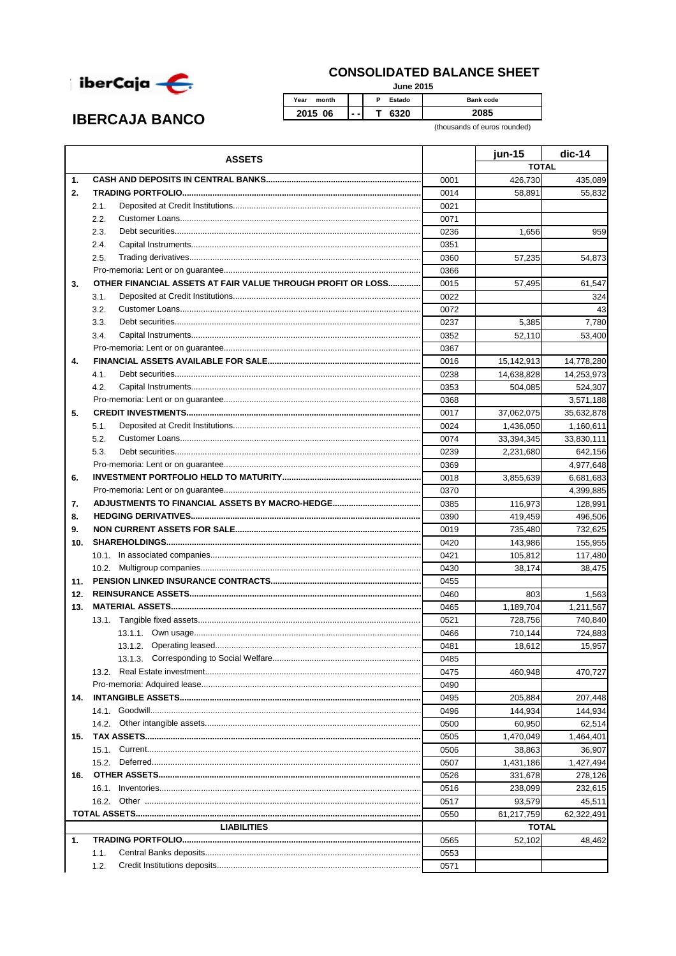

## **CONSOLIDATED BALANCE SHEET**

**June 2015** 

 $\overline{P}$ Estado Year month Bank code 2015 06 T 6320 2085  $\sim$  .

(thousands of euros rounded)

|     | <b>ASSETS</b>                                               |              | jun-15              | $dic-14$   |
|-----|-------------------------------------------------------------|--------------|---------------------|------------|
|     |                                                             |              | <b>TOTAL</b>        |            |
| 1.  |                                                             | 0001         | 426.730             | 435,089    |
| 2.  |                                                             | 0014         | 58,891              | 55,832     |
|     | 2.1.                                                        | 0021         |                     |            |
|     | 2.2.                                                        | 0071         |                     |            |
|     | 2.3.                                                        | 0236         | 1,656               | 959        |
|     | 2.4.                                                        | 0351         |                     |            |
|     | 2.5.                                                        | 0360         | 57,235              | 54,873     |
|     |                                                             | 0366         |                     |            |
| 3.  | OTHER FINANCIAL ASSETS AT FAIR VALUE THROUGH PROFIT OR LOSS | 0015         | 57,495              | 61,547     |
|     | 3.1.                                                        | 0022         |                     | 324        |
|     | 3.2.                                                        | 0072         |                     | 43         |
|     | 3.3.                                                        | 0237         | 5,385               | 7,780      |
|     | 3.4.                                                        | 0352         | 52,110              | 53,400     |
|     |                                                             | 0367         |                     |            |
| 4.  |                                                             | 0016         | 15,142,913          | 14,778,280 |
|     | 4.1.                                                        | 0238         | 14,638,828          | 14,253,973 |
|     | 4.2.                                                        | 0353         | 504,085             | 524,307    |
|     |                                                             | 0368         |                     | 3,571,188  |
| 5.  |                                                             | 0017         | 37,062,075          | 35,632,878 |
|     | 5.1.                                                        | 0024         | 1,436,050           | 1,160,611  |
|     | 5.2.                                                        | 0074         | 33,394,345          | 33,830,111 |
|     | 5.3.                                                        | 0239         | 2,231,680           | 642,156    |
|     |                                                             | 0369         |                     | 4,977,648  |
| 6.  |                                                             | 0018         | 3,855,639           | 6,681,683  |
|     |                                                             | 0370         |                     | 4,399,885  |
| 7.  |                                                             | 0385         | 116,973             | 128,991    |
| 8.  |                                                             | 0390         | 419,459             | 496,506    |
| 9.  |                                                             | 0019         | 735,480             | 732,625    |
| 10. |                                                             | 0420         | 143,986             | 155,955    |
|     |                                                             | 0421         | 105,812             | 117,480    |
|     |                                                             | 0430         | 38,174              | 38,475     |
| 11. |                                                             | 0455         |                     |            |
| 12. |                                                             | 0460         | 803                 | 1,563      |
| 13. |                                                             | 0465         | 1,189,704           | 1,211,567  |
|     |                                                             | 0521         | 728,756             | 740,840    |
|     |                                                             | 0466         | 710,144             | 724,883    |
|     |                                                             | 0481         | 18,612              | 15,957     |
|     | 13.1.3. Corresponding to Social Welfare                     | 0485         |                     |            |
|     |                                                             | 0475         | 460.948             | 470,727    |
|     |                                                             | 0490         |                     |            |
| 14. |                                                             | 0495         | 205,884             | 207,448    |
|     |                                                             | 0496         | 144,934             | 144,934    |
|     | 14.2.                                                       | 0500         | 60,950              | 62,514     |
|     |                                                             |              |                     |            |
| 15. |                                                             | 0505<br>0506 | 1,470,049<br>38,863 | 1,464,401  |
|     | 15.2.                                                       |              |                     | 36,907     |
|     |                                                             | 0507         | 1,431,186           | 1,427,494  |
| 16. |                                                             | 0526         | 331,678             | 278,126    |
|     |                                                             | 0516         | 238,099             | 232,615    |
|     |                                                             | 0517         | 93,579              | 45,511     |
|     |                                                             | 0550         | 61,217,759          | 62,322,491 |
|     | <b>LIABILITIES</b>                                          |              | <b>TOTAL</b>        |            |
| 1.  |                                                             | 0565         | 52,102              | 48,462     |
|     | 1.1.                                                        | 0553         |                     |            |
|     | 1.2.                                                        | 0571         |                     |            |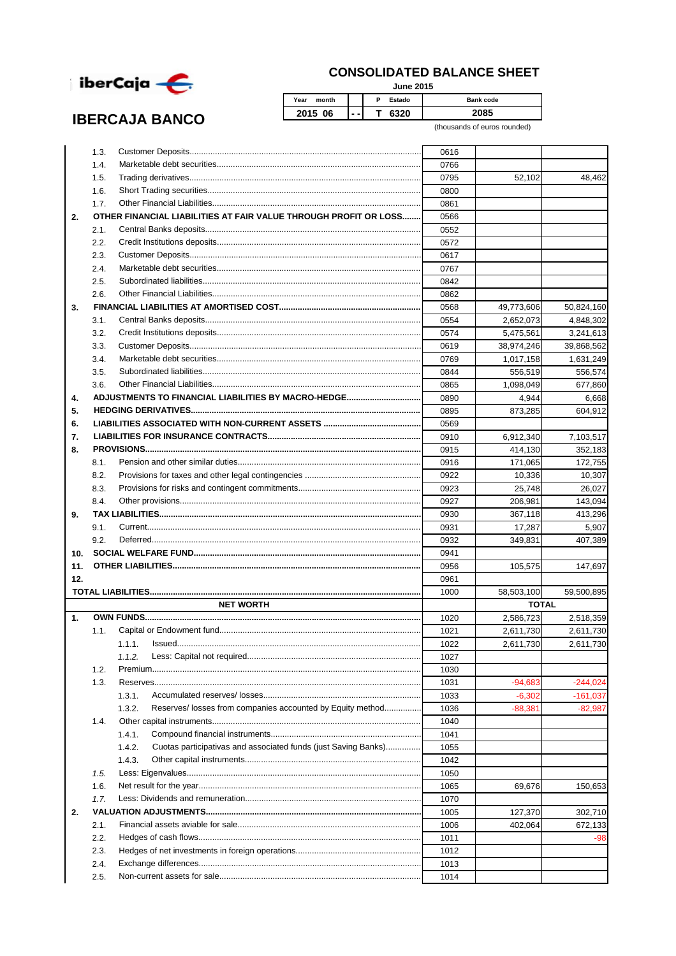

**IBERCAJA BANCO** 

## **CONSOLIDATED BALANCE SHEET**

**June 2015**

| Year<br>month |     | Estado<br>D | <b>Bank code</b> |
|---------------|-----|-------------|------------------|
| 2015<br>06    | - - | 6320        | 2085             |

(thousands of euros rounded)

|     | 1.3. |                                                                          | 0616 |              |            |
|-----|------|--------------------------------------------------------------------------|------|--------------|------------|
|     | 1.4. |                                                                          | 0766 |              |            |
|     | 1.5. |                                                                          | 0795 | 52,102       | 48,462     |
|     | 1.6. |                                                                          | 0800 |              |            |
|     | 1.7. |                                                                          | 0861 |              |            |
| 2.  |      | OTHER FINANCIAL LIABILITIES AT FAIR VALUE THROUGH PROFIT OR LOSS         | 0566 |              |            |
|     | 2.1. |                                                                          | 0552 |              |            |
|     | 2.2. |                                                                          | 0572 |              |            |
|     | 2.3. |                                                                          | 0617 |              |            |
|     | 2.4. |                                                                          | 0767 |              |            |
|     | 2.5. |                                                                          | 0842 |              |            |
|     | 2.6. |                                                                          | 0862 |              |            |
| 3.  |      |                                                                          | 0568 | 49,773,606   | 50,824,160 |
|     | 3.1. |                                                                          | 0554 | 2,652,073    | 4,848,302  |
|     | 3.2. |                                                                          | 0574 | 5,475,561    | 3,241,613  |
|     | 3.3. |                                                                          | 0619 | 38,974,246   |            |
|     | 3.4. |                                                                          |      |              | 39,868,562 |
|     |      |                                                                          | 0769 | 1,017,158    | 1,631,249  |
|     | 3.5. |                                                                          | 0844 | 556.519      | 556,574    |
|     | 3.6. |                                                                          | 0865 | 1,098,049    | 677,860    |
| 4.  |      |                                                                          | 0890 | 4,944        | 6,668      |
| 5.  |      |                                                                          | 0895 | 873,285      | 604,912    |
| 6.  |      |                                                                          | 0569 |              |            |
| 7.  |      |                                                                          | 0910 | 6,912,340    | 7,103,517  |
| 8.  |      |                                                                          | 0915 | 414,130      | 352,183    |
|     | 8.1. |                                                                          | 0916 | 171.065      | 172.755    |
|     | 8.2. |                                                                          | 0922 | 10,336       | 10,307     |
|     | 8.3. |                                                                          | 0923 | 25,748       | 26,027     |
|     | 8.4. |                                                                          | 0927 | 206,981      | 143,094    |
| 9.  |      |                                                                          | 0930 | 367,118      | 413,296    |
|     | 9.1. |                                                                          | 0931 | 17,287       | 5,907      |
|     | 9.2. |                                                                          | 0932 | 349,831      | 407,389    |
| 10. |      |                                                                          | 0941 |              |            |
| 11. |      |                                                                          | 0956 | 105,575      | 147,697    |
| 12. |      |                                                                          | 0961 |              |            |
|     |      |                                                                          | 1000 | 58,503,100   | 59,500,895 |
|     |      | <b>NET WORTH</b>                                                         |      | <b>TOTAL</b> |            |
| 1.  |      |                                                                          | 1020 | 2,586,723    | 2,518,359  |
|     | 1.1. |                                                                          | 1021 | 2,611,730    | 2,611,730  |
|     |      | 1.1.1.                                                                   | 1022 | 2,611,730    | 2,611,730  |
|     |      |                                                                          | 1027 |              |            |
|     | 1.2. |                                                                          | 1030 |              |            |
|     | 1.3. |                                                                          | 1031 | $-94.683$    | $-244,024$ |
|     |      | 1.3.1.                                                                   | 1033 | $-6,302$     | -161,037   |
|     |      | Reserves/ losses from companies accounted by Equity method<br>1.3.2.     | 1036 | $-88,381$    | $-82,987$  |
|     | 1.4. |                                                                          | 1040 |              |            |
|     |      | 1.4.1.                                                                   | 1041 |              |            |
|     |      | 1.4.2.<br>Cuotas participativas and associated funds (just Saving Banks) | 1055 |              |            |
|     |      |                                                                          |      |              |            |
|     |      | 1.4.3.                                                                   | 1042 |              |            |
|     | 1.5. |                                                                          | 1050 |              |            |
|     | 1.6. |                                                                          | 1065 | 69,676       | 150,653    |
|     | 1.7. |                                                                          | 1070 |              |            |
| 2.  |      |                                                                          | 1005 | 127,370      | 302,710    |
|     | 2.1. |                                                                          | 1006 | 402,064      | 672,133    |
|     | 2.2. |                                                                          | 1011 |              | -98        |
|     | 2.3. |                                                                          | 1012 |              |            |
|     | 2.4. |                                                                          | 1013 |              |            |
|     |      |                                                                          | 1014 |              |            |